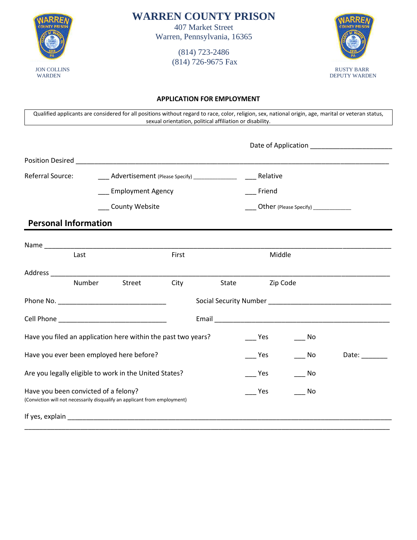

**WARREN COUNTY PRISON**

407 Market Street Warren, Pennsylvania, 16365

> (814) 723-2486 (814) 726-9675 Fax



#### **APPLICATION FOR EMPLOYMENT**

Qualified applicants are considered for all positions without regard to race, color, religion, sex, national origin, age, marital or veteran status, sexual orientation, political affiliation or disability.

| Position Desired <b>Executive Services</b> Position Desired                                                       |        |                          |       |          |                                         |           |                               |
|-------------------------------------------------------------------------------------------------------------------|--------|--------------------------|-------|----------|-----------------------------------------|-----------|-------------------------------|
| Referral Source:<br>Advertisement (Please Specify) ______________                                                 |        |                          |       | Relative |                                         |           |                               |
|                                                                                                                   |        | <b>Employment Agency</b> |       |          | Friend                                  |           |                               |
|                                                                                                                   |        | County Website           |       |          | __ Other (Please Specify) _____________ |           |                               |
| <b>Personal Information</b>                                                                                       |        |                          |       |          |                                         |           |                               |
|                                                                                                                   |        |                          |       |          |                                         |           |                               |
|                                                                                                                   | Last   |                          | First |          | Middle                                  |           |                               |
|                                                                                                                   |        |                          |       |          |                                         |           |                               |
|                                                                                                                   | Number | Street                   | City  | State    | Zip Code                                |           |                               |
|                                                                                                                   |        |                          |       |          |                                         |           |                               |
|                                                                                                                   |        |                          |       |          |                                         |           |                               |
| Have you filed an application here within the past two years?<br>Yes<br>$\overline{\phantom{0}}$ No               |        |                          |       |          |                                         |           |                               |
| Have you ever been employed here before?                                                                          |        |                          |       |          | Yes                                     | No.       | Date: $\_\_\_\_\_\_\_\_\_\_\$ |
| Are you legally eligible to work in the United States?                                                            |        |                          |       |          | Yes                                     | ___ No    |                               |
| Have you been convicted of a felony?<br>(Conviction will not necessarily disqualify an applicant from employment) |        |                          |       |          | Yes                                     | <b>No</b> |                               |
|                                                                                                                   |        |                          |       |          |                                         |           |                               |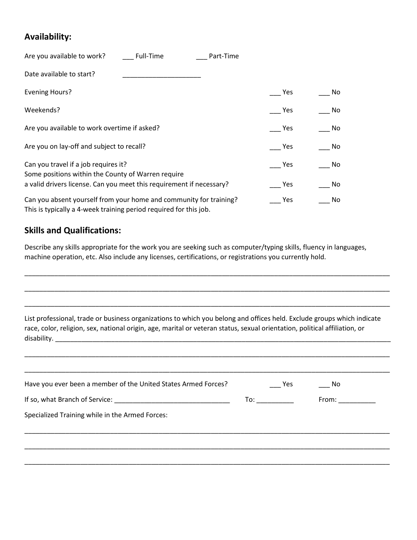## **Availability:**

| Are you available to work?<br>Full-Time      | Part-Time |     |    |
|----------------------------------------------|-----------|-----|----|
| Date available to start?                     |           |     |    |
| <b>Evening Hours?</b>                        |           | Yes | No |
| Weekends?                                    |           | Yes | No |
| Are you available to work overtime if asked? |           | Yes | No |
| Are you on lay-off and subject to recall?    |           | Yes | No |
| Can you travel if a job requires it?         |           | Yes | No |

Some positions within the County of Warren require a valid drivers license. Can you meet this requirement if necessary? \_\_\_\_\_\_\_\_ Yes \_\_\_\_\_\_\_\_\_\_ No Can you absent yourself from your home and community for training? \_\_\_\_\_\_\_ Yes \_\_\_\_\_\_\_\_ No This is typically a 4-week training period required for this job.

## **Skills and Qualifications:**

Describe any skills appropriate for the work you are seeking such as computer/typing skills, fluency in languages, machine operation, etc. Also include any licenses, certifications, or registrations you currently hold.

| List professional, trade or business organizations to which you belong and offices held. Exclude groups which indicate<br>race, color, religion, sex, national origin, age, marital or veteran status, sexual orientation, political affiliation, or |                                                                                                                |       |
|------------------------------------------------------------------------------------------------------------------------------------------------------------------------------------------------------------------------------------------------------|----------------------------------------------------------------------------------------------------------------|-------|
| Have you ever been a member of the United States Armed Forces?                                                                                                                                                                                       | Yes                                                                                                            | No.   |
| Specialized Training while in the Armed Forces:                                                                                                                                                                                                      | To: and the state of the state of the state of the state of the state of the state of the state of the state o | From: |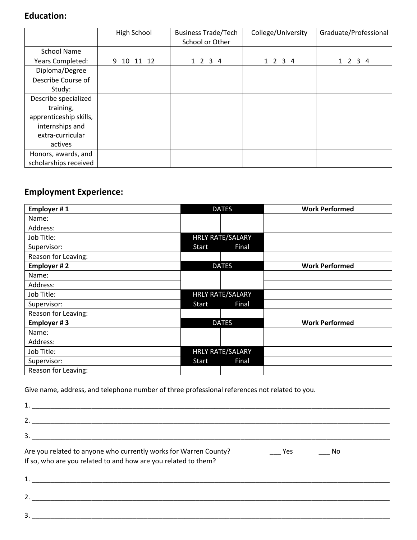# **Education:**

|                        | High School      | <b>Business Trade/Tech</b><br>School or Other | College/University | Graduate/Professional        |
|------------------------|------------------|-----------------------------------------------|--------------------|------------------------------|
| <b>School Name</b>     |                  |                                               |                    |                              |
| Years Completed:       | 9<br>10<br>11 12 | $1\quad2$<br>$\overline{3}$<br>-4             | 1 2 3 4            | $\overline{2}$<br>$3\quad 4$ |
| Diploma/Degree         |                  |                                               |                    |                              |
| Describe Course of     |                  |                                               |                    |                              |
| Study:                 |                  |                                               |                    |                              |
| Describe specialized   |                  |                                               |                    |                              |
| training,              |                  |                                               |                    |                              |
| apprenticeship skills, |                  |                                               |                    |                              |
| internships and        |                  |                                               |                    |                              |
| extra-curricular       |                  |                                               |                    |                              |
| actives                |                  |                                               |                    |                              |
| Honors, awards, and    |                  |                                               |                    |                              |
| scholarships received  |                  |                                               |                    |                              |

# **Employment Experience:**

| Employer #1         |       | <b>DATES</b>     | <b>Work Performed</b> |
|---------------------|-------|------------------|-----------------------|
| Name:               |       |                  |                       |
| Address:            |       |                  |                       |
| Job Title:          |       | HRLY RATE/SALARY |                       |
| Supervisor:         | Start | Final            |                       |
| Reason for Leaving: |       |                  |                       |
| Employer #2         |       | <b>DATES</b>     | <b>Work Performed</b> |
| Name:               |       |                  |                       |
| Address:            |       |                  |                       |
| Job Title:          |       | HRLY RATE/SALARY |                       |
| Supervisor:         | Start | Final            |                       |
| Reason for Leaving: |       |                  |                       |
| Employer #3         |       | <b>DATES</b>     | <b>Work Performed</b> |
| Name:               |       |                  |                       |
| Address:            |       |                  |                       |
| Job Title:          |       | HRLY RATE/SALARY |                       |
| Supervisor:         | Start | Final            |                       |
| Reason for Leaving: |       |                  |                       |

Give name, address, and telephone number of three professional references not related to you.

| Are you related to anyone who currently works for Warren County?<br>If so, who are you related to and how are you related to them? | Yes | <b>No</b> |  |
|------------------------------------------------------------------------------------------------------------------------------------|-----|-----------|--|
|                                                                                                                                    |     |           |  |
| $2.$ $\overline{\phantom{a}}$                                                                                                      |     |           |  |
| 3.                                                                                                                                 |     |           |  |